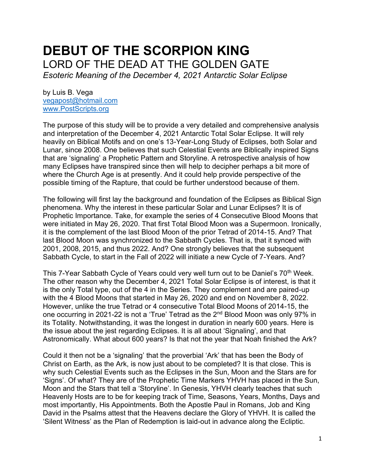# **DEBUT OF THE SCORPION KING** LORD OF THE DEAD AT THE GOLDEN GATE *Esoteric Meaning of the December 4, 2021 Antarctic Solar Eclipse*

by Luis B. Vega [vegapost@hotmail.com](mailto:vegapost@hotmail.com) [www.PostScripts.org](http://www.postscripts.org/)

The purpose of this study will be to provide a very detailed and comprehensive analysis and interpretation of the December 4, 2021 Antarctic Total Solar Eclipse. It will rely heavily on Biblical Motifs and on one's 13-Year-Long Study of Eclipses, both Solar and Lunar, since 2008. One believes that such Celestial Events are Biblically inspired Signs that are 'signaling' a Prophetic Pattern and Storyline. A retrospective analysis of how many Eclipses have transpired since then will help to decipher perhaps a bit more of where the Church Age is at presently. And it could help provide perspective of the possible timing of the Rapture, that could be further understood because of them.

The following will first lay the background and foundation of the Eclipses as Biblical Sign phenomena. Why the interest in these particular Solar and Lunar Eclipses? It is of Prophetic Importance. Take, for example the series of 4 Consecutive Blood Moons that were initiated in May 26, 2020. That first Total Blood Moon was a Supermoon. Ironically, it is the complement of the last Blood Moon of the prior Tetrad of 2014-15. And? That last Blood Moon was synchronized to the Sabbath Cycles. That is, that it synced with 2001, 2008, 2015, and thus 2022. And? One strongly believes that the subsequent Sabbath Cycle, to start in the Fall of 2022 will initiate a new Cycle of 7-Years. And?

This 7-Year Sabbath Cycle of Years could very well turn out to be Daniel's 70<sup>th</sup> Week. The other reason why the December 4, 2021 Total Solar Eclipse is of interest, is that it is the only Total type, out of the 4 in the Series. They complement and are paired-up with the 4 Blood Moons that started in May 26, 2020 and end on November 8, 2022. However, unlike the true Tetrad or 4 consecutive Total Blood Moons of 2014-15, the one occurring in 2021-22 is not a 'True' Tetrad as the 2nd Blood Moon was only 97% in its Totality. Notwithstanding, it was the longest in duration in nearly 600 years. Here is the issue about the jest regarding Eclipses. It is all about 'Signaling', and that Astronomically. What about 600 years? Is that not the year that Noah finished the Ark?

Could it then not be a 'signaling' that the proverbial 'Ark' that has been the Body of Christ on Earth, as the Ark, is now just about to be completed? It is that close. This is why such Celestial Events such as the Eclipses in the Sun, Moon and the Stars are for 'Signs'. Of what? They are of the Prophetic Time Markers YHVH has placed in the Sun, Moon and the Stars that tell a 'Storyline'. In Genesis, YHVH clearly teaches that such Heavenly Hosts are to be for keeping track of Time, Seasons, Years, Months, Days and most importantly, His Appointments. Both the Apostle Paul in Romans, Job and King David in the Psalms attest that the Heavens declare the Glory of YHVH. It is called the 'Silent Witness' as the Plan of Redemption is laid-out in advance along the Ecliptic.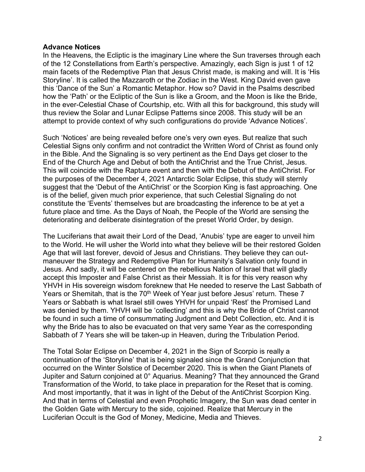## **Advance Notices**

In the Heavens, the Ecliptic is the imaginary Line where the Sun traverses through each of the 12 Constellations from Earth's perspective. Amazingly, each Sign is just 1 of 12 main facets of the Redemptive Plan that Jesus Christ made, is making and will. It is 'His Storyline'. It is called the Mazzaroth or the Zodiac in the West. King David even gave this 'Dance of the Sun' a Romantic Metaphor. How so? David in the Psalms described how the 'Path' or the Ecliptic of the Sun is like a Groom, and the Moon is like the Bride, in the ever-Celestial Chase of Courtship, etc. With all this for background, this study will thus review the Solar and Lunar Eclipse Patterns since 2008. This study will be an attempt to provide context of why such configurations do provide 'Advance Notices'.

Such 'Notices' are being revealed before one's very own eyes. But realize that such Celestial Signs only confirm and not contradict the Written Word of Christ as found only in the Bible. And the Signaling is so very pertinent as the End Days get closer to the End of the Church Age and Debut of both the AntiChrist and the True Christ, Jesus. This will coincide with the Rapture event and then with the Debut of the AntiChrist. For the purposes of the December 4, 2021 Antarctic Solar Eclipse, this study will sternly suggest that the 'Debut of the AntiChrist' or the Scorpion King is fast approaching. One is of the belief, given much prior experience, that such Celestial Signaling do not constitute the 'Events' themselves but are broadcasting the inference to be at yet a future place and time. As the Days of Noah, the People of the World are sensing the deteriorating and deliberate disintegration of the preset World Order, by design.

The Luciferians that await their Lord of the Dead, 'Anubis' type are eager to unveil him to the World. He will usher the World into what they believe will be their restored Golden Age that will last forever, devoid of Jesus and Christians. They believe they can outmaneuver the Strategy and Redemptive Plan for Humanity's Salvation only found in Jesus. And sadly, it will be centered on the rebellious Nation of Israel that will gladly accept this Imposter and False Christ as their Messiah. It is for this very reason why YHVH in His sovereign wisdom foreknew that He needed to reserve the Last Sabbath of Years or Shemitah, that is the 70<sup>th</sup> Week of Year just before Jesus' return. These 7 Years or Sabbath is what Israel still owes YHVH for unpaid 'Rest' the Promised Land was denied by them. YHVH will be 'collecting' and this is why the Bride of Christ cannot be found in such a time of consummating Judgment and Debt Collection, etc. And it is why the Bride has to also be evacuated on that very same Year as the corresponding Sabbath of 7 Years she will be taken-up in Heaven, during the Tribulation Period.

The Total Solar Eclipse on December 4, 2021 in the Sign of Scorpio is really a continuation of the 'Storyline' that is being signaled since the Grand Conjunction that occurred on the Winter Solstice of December 2020. This is when the Giant Planets of Jupiter and Saturn conjoined at 0° Aquarius. Meaning? That they announced the Grand Transformation of the World, to take place in preparation for the Reset that is coming. And most importantly, that it was in light of the Debut of the AntiChrist Scorpion King. And that in terms of Celestial and even Prophetic Imagery, the Sun was dead center in the Golden Gate with Mercury to the side, cojoined. Realize that Mercury in the Luciferian Occult is the God of Money, Medicine, Media and Thieves.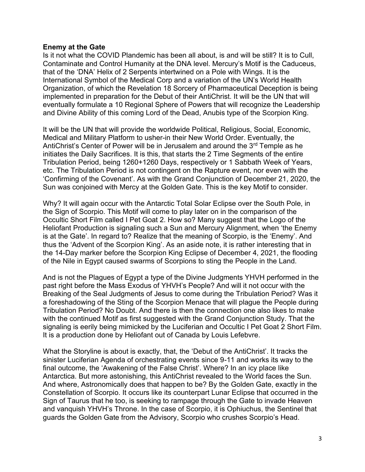## **Enemy at the Gate**

Is it not what the COVID Plandemic has been all about, is and will be still? It is to Cull, Contaminate and Control Humanity at the DNA level. Mercury's Motif is the Caduceus, that of the 'DNA' Helix of 2 Serpents intertwined on a Pole with Wings. It is the International Symbol of the Medical Corp and a variation of the UN's World Health Organization, of which the Revelation 18 Sorcery of Pharmaceutical Deception is being implemented in preparation for the Debut of their AntiChrist. It will be the UN that will eventually formulate a 10 Regional Sphere of Powers that will recognize the Leadership and Divine Ability of this coming Lord of the Dead, Anubis type of the Scorpion King.

It will be the UN that will provide the worldwide Political, Religious, Social, Economic, Medical and Military Platform to usher-in their New World Order. Eventually, the AntiChrist's Center of Power will be in Jerusalem and around the 3<sup>rd</sup> Temple as he initiates the Daily Sacrifices. It is this, that starts the 2 Time Segments of the entire Tribulation Period, being 1260+1260 Days, respectively or 1 Sabbath Week of Years, etc. The Tribulation Period is not contingent on the Rapture event, nor even with the 'Confirming of the Covenant'. As with the Grand Conjunction of December 21, 2020, the Sun was conjoined with Mercy at the Golden Gate. This is the key Motif to consider.

Why? It will again occur with the Antarctic Total Solar Eclipse over the South Pole, in the Sign of Scorpio. This Motif will come to play later on in the comparison of the Occultic Short Film called I Pet Goat 2. How so? Many suggest that the Logo of the Heliofant Production is signaling such a Sun and Mercury Alignment, when 'the Enemy is at the Gate'. In regard to? Realize that the meaning of Scorpio, is the 'Enemy'. And thus the 'Advent of the Scorpion King'. As an aside note, it is rather interesting that in the 14-Day marker before the Scorpion King Eclipse of December 4, 2021, the flooding of the Nile in Egypt caused swarms of Scorpions to sting the People in the Land.

And is not the Plagues of Egypt a type of the Divine Judgments YHVH performed in the past right before the Mass Exodus of YHVH's People? And will it not occur with the Breaking of the Seal Judgments of Jesus to come during the Tribulation Period? Was it a foreshadowing of the Sting of the Scorpion Menace that will plague the People during Tribulation Period? No Doubt. And there is then the connection one also likes to make with the continued Motif as first suggested with the Grand Conjunction Study. That the signaling is eerily being mimicked by the Luciferian and Occultic I Pet Goat 2 Short Film. It is a production done by Heliofant out of Canada by Louis Lefebvre.

What the Storyline is about is exactly, that, the 'Debut of the AntiChrist'. It tracks the sinister Luciferian Agenda of orchestrating events since 9-11 and works its way to the final outcome, the 'Awakening of the False Christ'. Where? In an icy place like Antarctica. But more astonishing, this AntiChrist revealed to the World faces the Sun. And where, Astronomically does that happen to be? By the Golden Gate, exactly in the Constellation of Scorpio. It occurs like its counterpart Lunar Eclipse that occurred in the Sign of Taurus that he too, is seeking to rampage through the Gate to invade Heaven and vanquish YHVH's Throne. In the case of Scorpio, it is Ophiuchus, the Sentinel that guards the Golden Gate from the Advisory, Scorpio who crushes Scorpio's Head.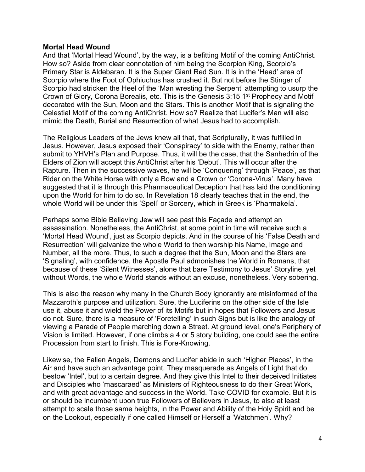## **Mortal Head Wound**

And that 'Mortal Head Wound', by the way, is a befitting Motif of the coming AntiChrist. How so? Aside from clear connotation of him being the Scorpion King, Scorpio's Primary Star is Aldebaran. It is the Super Giant Red Sun. It is in the 'Head' area of Scorpio where the Foot of Ophiuchus has crushed it. But not before the Stinger of Scorpio had stricken the Heel of the 'Man wresting the Serpent' attempting to usurp the Crown of Glory, Corona Borealis, etc. This is the Genesis 3:15 1<sup>st</sup> Prophecy and Motif decorated with the Sun, Moon and the Stars. This is another Motif that is signaling the Celestial Motif of the coming AntiChrist. How so? Realize that Lucifer's Man will also mimic the Death, Burial and Resurrection of what Jesus had to accomplish.

The Religious Leaders of the Jews knew all that, that Scripturally, it was fulfilled in Jesus. However, Jesus exposed their 'Conspiracy' to side with the Enemy, rather than submit to YHVH's Plan and Purpose. Thus, it will be the case, that the Sanhedrin of the Elders of Zion will accept this AntiChrist after his 'Debut'. This will occur after the Rapture. Then in the successive waves, he will be 'Conquering' through 'Peace', as that Rider on the White Horse with only a Bow and a Crown or 'Corona-Virus'. Many have suggested that it is through this Pharmaceutical Deception that has laid the conditioning upon the World for him to do so. In Revelation 18 clearly teaches that in the end, the whole World will be under this 'Spell' or Sorcery, which in Greek is 'Pharmakeía'.

Perhaps some Bible Believing Jew will see past this Façade and attempt an assassination. Nonetheless, the AntiChrist, at some point in time will receive such a 'Mortal Head Wound', just as Scorpio depicts. And in the course of his 'False Death and Resurrection' will galvanize the whole World to then worship his Name, Image and Number, all the more. Thus, to such a degree that the Sun, Moon and the Stars are 'Signaling', with confidence, the Apostle Paul admonishes the World in Romans, that because of these 'Silent Witnesses', alone that bare Testimony to Jesus' Storyline, yet without Words, the whole World stands without an excuse, nonetheless. Very sobering.

This is also the reason why many in the Church Body ignorantly are misinformed of the Mazzaroth's purpose and utilization. Sure, the Luciferins on the other side of the Isle use it, abuse it and wield the Power of its Motifs but in hopes that Followers and Jesus do not. Sure, there is a measure of 'Foretelling' in such Signs but is like the analogy of viewing a Parade of People marching down a Street. At ground level, one's Periphery of Vision is limited. However, if one climbs a 4 or 5 story building, one could see the entire Procession from start to finish. This is Fore-Knowing.

Likewise, the Fallen Angels, Demons and Lucifer abide in such 'Higher Places', in the Air and have such an advantage point. They masquerade as Angels of Light that do bestow 'Intel', but to a certain degree. And they give this Intel to their deceived Initiates and Disciples who 'mascaraed' as Ministers of Righteousness to do their Great Work, and with great advantage and success in the World. Take COVID for example. But it is or should be incumbent upon true Followers of Believers in Jesus, to also at least attempt to scale those same heights, in the Power and Ability of the Holy Spirit and be on the Lookout, especially if one called Himself or Herself a 'Watchmen'. Why?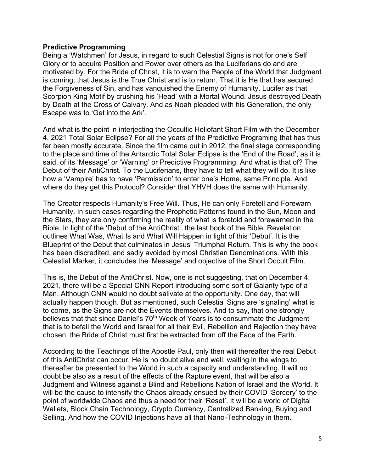## **Predictive Programming**

Being a 'Watchmen' for Jesus, in regard to such Celestial Signs is not for one's Self Glory or to acquire Position and Power over others as the Luciferians do and are motivated by. For the Bride of Christ, it is to warn the People of the World that Judgment is coming; that Jesus is the True Christ and is to return. That it is He that has secured the Forgiveness of Sin, and has vanquished the Enemy of Humanity, Lucifer as that Scorpion King Motif by crushing his 'Head' with a Mortal Wound. Jesus destroyed Death by Death at the Cross of Calvary. And as Noah pleaded with his Generation, the only Escape was to 'Get into the Ark'.

And what is the point in interjecting the Occultic Heliofant Short Film with the December 4, 2021 Total Solar Eclipse? For all the years of the Predictive Programing that has thus far been mostly accurate. Since the film came out in 2012, the final stage corresponding to the place and time of the Antarctic Total Solar Eclipse is the 'End of the Road', as it is said, of its 'Message' or 'Warning' or Predictive Programming. And what is that of? The Debut of their AntiChrist. To the Luciferians, they have to tell what they will do. It is like how a 'Vampire' has to have 'Permission' to enter one's Home, same Principle. And where do they get this Protocol? Consider that YHVH does the same with Humanity.

The Creator respects Humanity's Free Will. Thus, He can only Foretell and Forewarn Humanity. In such cases regarding the Prophetic Patterns found in the Sun, Moon and the Stars, they are only confirming the reality of what is foretold and forewarned in the Bible. In light of the 'Debut of the AntiChrist', the last book of the Bible, Revelation outlines What Was, What Is and What Will Happen in light of this 'Debut'. It is the Blueprint of the Debut that culminates in Jesus' Triumphal Return. This is why the book has been discredited, and sadly avoided by most Christian Denominations. With this Celestial Marker, it concludes the 'Message' and objective of the Short Occult Film.

This is, the Debut of the AntiChrist. Now, one is not suggesting, that on December 4, 2021, there will be a Special CNN Report introducing some sort of Galanty type of a Man. Although CNN would no doubt salivate at the opportunity. One day, that will actually happen though. But as mentioned, such Celestial Signs are 'signaling' what is to come, as the Signs are not the Events themselves. And to say, that one strongly believes that that since Daniel's 70<sup>th</sup> Week of Years is to consummate the Judgment that is to befall the World and Israel for all their Evil, Rebellion and Rejection they have chosen, the Bride of Christ must first be extracted from off the Face of the Earth.

According to the Teachings of the Apostle Paul, only then will thereafter the real Debut of this AntiChrist can occur. He is no doubt alive and well, waiting in the wings to thereafter be presented to the World in such a capacity and understanding. It will no doubt be also as a result of the effects of the Rapture event, that will be also a Judgment and Witness against a Blind and Rebellions Nation of Israel and the World. It will be the cause to intensify the Chaos already ensued by their COVID 'Sorcery' to the point of worldwide Chaos and thus a need for their 'Reset'. It will be a world of Digital Wallets, Block Chain Technology, Crypto Currency, Centralized Banking, Buying and Selling. And how the COVID Injections have all that Nano-Technology in them.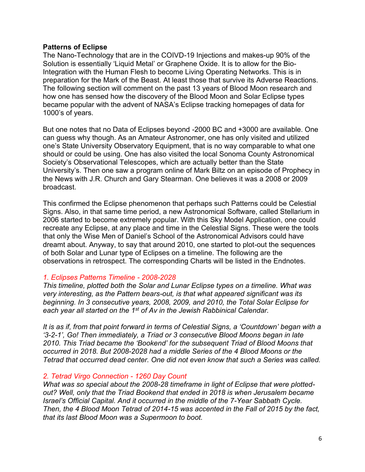# **Patterns of Eclipse**

The Nano-Technology that are in the COIVD-19 Injections and makes-up 90% of the Solution is essentially 'Liquid Metal' or Graphene Oxide. It is to allow for the Bio-Integration with the Human Flesh to become Living Operating Networks. This is in preparation for the Mark of the Beast. At least those that survive its Adverse Reactions. The following section will comment on the past 13 years of Blood Moon research and how one has sensed how the discovery of the Blood Moon and Solar Eclipse types became popular with the advent of NASA's Eclipse tracking homepages of data for 1000's of years.

But one notes that no Data of Eclipses beyond -2000 BC and +3000 are available. One can guess why though. As an Amateur Astronomer, one has only visited and utilized one's State University Observatory Equipment, that is no way comparable to what one should or could be using. One has also visited the local Sonoma County Astronomical Society's Observational Telescopes, which are actually better than the State University's. Then one saw a program online of Mark Biltz on an episode of Prophecy in the News with J.R. Church and Gary Stearman. One believes it was a 2008 or 2009 broadcast.

This confirmed the Eclipse phenomenon that perhaps such Patterns could be Celestial Signs. Also, in that same time period, a new Astronomical Software, called Stellarium in 2006 started to become extremely popular. With this Sky Model Application, one could recreate any Eclipse, at any place and time in the Celestial Signs. These were the tools that only the Wise Men of Daniel's School of the Astronomical Advisors could have dreamt about. Anyway, to say that around 2010, one started to plot-out the sequences of both Solar and Lunar type of Eclipses on a timeline. The following are the observations in retrospect. The corresponding Charts will be listed in the Endnotes.

# *1. Eclipses Patterns Timeline - 2008-2028*

*This timeline, plotted both the Solar and Lunar Eclipse types on a timeline. What was very interesting, as the Pattern bears-out, is that what appeared significant was its beginning. In 3 consecutive years, 2008, 2009, and 2010, the Total Solar Eclipse for each year all started on the 1st of Av in the Jewish Rabbinical Calendar.*

*It is as if, from that point forward in terms of Celestial Signs, a 'Countdown' began with a '3-2-1', Go! Then immediately, a Triad or 3 consecutive Blood Moons began in late 2010. This Triad became the 'Bookend' for the subsequent Triad of Blood Moons that occurred in 2018. But 2008-2028 had a middle Series of the 4 Blood Moons or the Tetrad that occurred dead center. One did not even know that such a Series was called.* 

# *2. Tetrad Virgo Connection - 1260 Day Count*

*What was so special about the 2008-28 timeframe in light of Eclipse that were plottedout? Well, only that the Triad Bookend that ended in 2018 is when Jerusalem became Israel's Official Capital. And it occurred in the middle of the 7-Year Sabbath Cycle. Then, the 4 Blood Moon Tetrad of 2014-15 was accented in the Fall of 2015 by the fact, that its last Blood Moon was a Supermoon to boot.*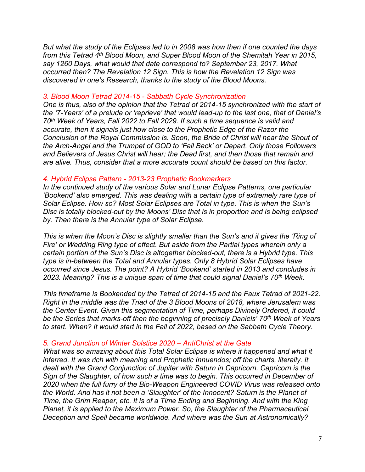*But what the study of the Eclipses led to in 2008 was how then if one counted the days from this Tetrad 4th Blood Moon, and Super Blood Moon of the Shemitah Year in 2015, say 1260 Days, what would that date correspond to? September 23, 2017. What occurred then? The Revelation 12 Sign. This is how the Revelation 12 Sign was discovered in one's Research, thanks to the study of the Blood Moons.*

#### *3. Blood Moon Tetrad 2014-15 - Sabbath Cycle Synchronization*

*One is thus, also of the opinion that the Tetrad of 2014-15 synchronized with the start of the '7-Years' of a prelude or 'reprieve' that would lead-up to the last one, that of Daniel's 70th Week of Years, Fall 2022 to Fall 2029. If such a time sequence is valid and accurate, then it signals just how close to the Prophetic Edge of the Razor the Conclusion of the Royal Commission is. Soon, the Bride of Christ will hear the Shout of the Arch-Angel and the Trumpet of GOD to 'Fall Back' or Depart. Only those Followers and Believers of Jesus Christ will hear; the Dead first, and then those that remain and are alive. Thus, consider that a more accurate count should be based on this factor.*

#### *4. Hybrid Eclipse Pattern - 2013-23 Prophetic Bookmarkers*

*In the continued study of the various Solar and Lunar Eclipse Patterns, one particular 'Bookend' also emerged. This was dealing with a certain type of extremely rare type of Solar Eclipse. How so? Most Solar Eclipses are Total in type. This is when the Sun's Disc is totally blocked-out by the Moons' Disc that is in proportion and is being eclipsed by. Then there is the Annular type of Solar Eclipse.*

*This is when the Moon's Disc is slightly smaller than the Sun's and it gives the 'Ring of Fire' or Wedding Ring type of effect. But aside from the Partial types wherein only a certain portion of the Sun's Disc is altogether blocked-out, there is a Hybrid type. This type is in-between the Total and Annular types. Only 8 Hybrid Solar Eclipses have occurred since Jesus. The point? A Hybrid 'Bookend' started in 2013 and concludes in 2023. Meaning? This is a unique span of time that could signal Daniel's 70th Week.*

*This timeframe is Bookended by the Tetrad of 2014-15 and the Faux Tetrad of 2021-22. Right in the middle was the Triad of the 3 Blood Moons of 2018, where Jerusalem was the Center Event. Given this segmentation of Time, perhaps Divinely Ordered, it could be the Series that marks-off then the beginning of precisely Daniels' 70th Week of Years to start. When? It would start in the Fall of 2022, based on the Sabbath Cycle Theory.*

#### *5. Grand Junction of Winter Solstice 2020 – AntiChrist at the Gate*

*What was so amazing about this Total Solar Eclipse is where it happened and what it inferred. It was rich with meaning and Prophetic Innuendos; off the charts, literally. It dealt with the Grand Conjunction of Jupiter with Saturn in Capricorn. Capricorn is the Sign of the Slaughter, of how such a time was to begin. This occurred in December of 2020 when the full furry of the Bio-Weapon Engineered COVID Virus was released onto the World. And has it not been a 'Slaughter' of the Innocent? Saturn is the Planet of Time, the Grim Reaper, etc. It is of a Time Ending and Beginning. And with the King Planet, it is applied to the Maximum Power. So, the Slaughter of the Pharmaceutical Deception and Spell became worldwide. And where was the Sun at Astronomically?*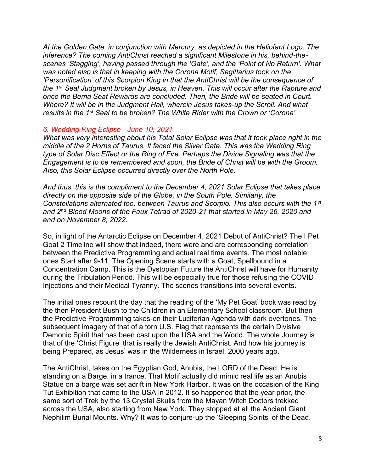*At the Golden Gate, in conjunction with Mercury, as depicted in the Heliofant Logo. The inference? The coming AntiChrist reached a significant Milestone in his, behind-thescenes 'Stagging', having passed through the 'Gate', and the 'Point of No Return'. What was noted also is that in keeping with the Corona Motif, Sagittarius took on the 'Personification' of this Scorpion King in that the AntiChrist will be the consequence of the 1st Seal Judgment broken by Jesus, in Heaven. This will occur after the Rapture and once the Bema Seat Rewards are concluded. Then, the Bride will be seated in Court. Where? It will be in the Judgment Hall, wherein Jesus takes-up the Scroll. And what results in the 1st Seal to be broken? The White Rider with the Crown or 'Corona'.*

## *6. Wedding Ring Eclipse - June 10, 2021*

*What was very interesting about his Total Solar Eclipse was that it took place right in the middle of the 2 Horns of Taurus. It faced the Silver Gate. This was the Wedding Ring type of Solar Disc Effect or the Ring of Fire. Perhaps the Divine Signaling was that the Engagement is to be remembered and soon, the Bride of Christ will be with the Groom. Also, this Solar Eclipse occurred directly over the North Pole.*

*And thus, this is the compliment to the December 4, 2021 Solar Eclipse that takes place directly on the opposite side of the Globe, in the South Pole. Similarly, the Constellations alternated too, between Taurus and Scorpio. This also occurs with the 1st and 2nd Blood Moons of the Faux Tetrad of 2020-21 that started in May 26, 2020 and end on November 8, 2022.*

So, in light of the Antarctic Eclipse on December 4, 2021 Debut of AntiChrist? The I Pet Goat 2 Timeline will show that indeed, there were and are corresponding correlation between the Predictive Programming and actual real time events. The most notable ones Start after 9-11. The Opening Scene starts with a Goat, Spellbound in a Concentration Camp. This is the Dystopian Future the AntiChrist will have for Humanity during the Tribulation Period. This will be especially true for those refusing the COVID Injections and their Medical Tyranny. The scenes transitions into several events.

The initial ones recount the day that the reading of the 'My Pet Goat' book was read by the then President Bush to the Children in an Elementary School classroom. But then the Predictive Programming takes-on their Luciferian Agenda with dark overtones. The subsequent imagery of that of a torn U.S. Flag that represents the certain Divisive Demonic Spirit that has been cast upon the USA and the World. The whole Journey is that of the 'Christ Figure' that is really the Jewish AntiChrist. And how his journey is being Prepared, as Jesus' was in the Wilderness in Israel, 2000 years ago.

The AntiChrist, takes on the Egyptian God, Anubis, the LORD of the Dead. He is standing on a Barge, in a trance. That Motif actually did mimic real life as an Anubis Statue on a barge was set adrift in New York Harbor. It was on the occasion of the King Tut Exhibition that came to the USA in 2012. It so happened that the year prior, the same sort of Trek by the 13 Crystal Skulls from the Mayan Witch Doctors trekked across the USA, also starting from New York. They stopped at all the Ancient Giant Nephilim Burial Mounts. Why? It was to conjure-up the 'Sleeping Spirits' of the Dead.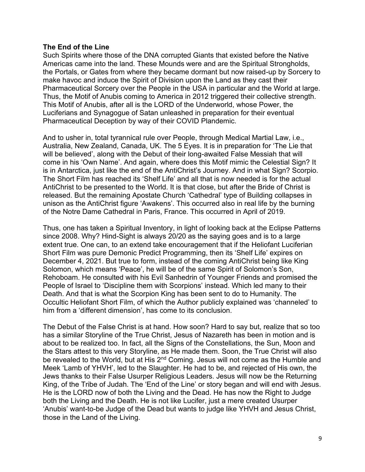## **The End of the Line**

Such Spirits where those of the DNA corrupted Giants that existed before the Native Americas came into the land. These Mounds were and are the Spiritual Strongholds, the Portals, or Gates from where they became dormant but now raised-up by Sorcery to make havoc and induce the Spirit of Division upon the Land as they cast their Pharmaceutical Sorcery over the People in the USA in particular and the World at large. Thus, the Motif of Anubis coming to America in 2012 triggered their collective strength. This Motif of Anubis, after all is the LORD of the Underworld, whose Power, the Luciferians and Synagogue of Satan unleashed in preparation for their eventual Pharmaceutical Deception by way of their COVID Plandemic.

And to usher in, total tyrannical rule over People, through Medical Martial Law, i.e., Australia, New Zealand, Canada, UK. The 5 Eyes. It is in preparation for 'The Lie that will be believed', along with the Debut of their long-awaited False Messiah that will come in his 'Own Name'. And again, where does this Motif mimic the Celestial Sign? It is in Antarctica, just like the end of the AntiChrist's Journey. And in what Sign? Scorpio. The Short Film has reached its 'Shelf Life' and all that is now needed is for the actual AntiChrist to be presented to the World. It is that close, but after the Bride of Christ is released. But the remaining Apostate Church 'Cathedral' type of Building collapses in unison as the AntiChrist figure 'Awakens'. This occurred also in real life by the burning of the Notre Dame Cathedral in Paris, France. This occurred in April of 2019.

Thus, one has taken a Spiritual Inventory, in light of looking back at the Eclipse Patterns since 2008. Why? Hind-Sight is always 20/20 as the saying goes and is to a large extent true. One can, to an extend take encouragement that if the Heliofant Luciferian Short Film was pure Demonic Predict Programming, then its 'Shelf Life' expires on December 4, 2021. But true to form, instead of the coming AntiChrist being like King Solomon, which means 'Peace', he will be of the same Spirit of Solomon's Son, Rehoboam. He consulted with his Evil Sanhedrin of Younger Friends and promised the People of Israel to 'Discipline them with Scorpions' instead. Which led many to their Death. And that is what the Scorpion King has been sent to do to Humanity. The Occultic Heliofant Short Film, of which the Author publicly explained was 'channeled' to him from a 'different dimension', has come to its conclusion.

The Debut of the False Christ is at hand. How soon? Hard to say but, realize that so too has a similar Storyline of the True Christ, Jesus of Nazareth has been in motion and is about to be realized too. In fact, all the Signs of the Constellations, the Sun, Moon and the Stars attest to this very Storyline, as He made them. Soon, the True Christ will also be revealed to the World, but at His 2<sup>nd</sup> Coming. Jesus will not come as the Humble and Meek 'Lamb of YHVH', led to the Slaughter. He had to be, and rejected of His own, the Jews thanks to their False Usurper Religious Leaders. Jesus will now be the Returning King, of the Tribe of Judah. The 'End of the Line' or story began and will end with Jesus. He is the LORD now of both the Living and the Dead. He has now the Right to Judge both the Living and the Death. He is not like Lucifer, just a mere created Usurper 'Anubis' want-to-be Judge of the Dead but wants to judge like YHVH and Jesus Christ, those in the Land of the Living.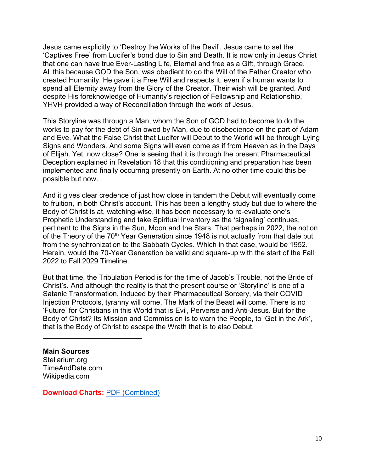Jesus came explicitly to 'Destroy the Works of the Devil'. Jesus came to set the 'Captives Free' from Lucifer's bond due to Sin and Death. It is now only in Jesus Christ that one can have true Ever-Lasting Life, Eternal and free as a Gift, through Grace. All this because GOD the Son, was obedient to do the Will of the Father Creator who created Humanity. He gave it a Free Will and respects it, even if a human wants to spend all Eternity away from the Glory of the Creator. Their wish will be granted. And despite His foreknowledge of Humanity's rejection of Fellowship and Relationship, YHVH provided a way of Reconciliation through the work of Jesus.

This Storyline was through a Man, whom the Son of GOD had to become to do the works to pay for the debt of Sin owed by Man, due to disobedience on the part of Adam and Eve. What the False Christ that Lucifer will Debut to the World will be through Lying Signs and Wonders. And some Signs will even come as if from Heaven as in the Days of Elijah. Yet, now close? One is seeing that it is through the present Pharmaceutical Deception explained in Revelation 18 that this conditioning and preparation has been implemented and finally occurring presently on Earth. At no other time could this be possible but now.

And it gives clear credence of just how close in tandem the Debut will eventually come to fruition, in both Christ's account. This has been a lengthy study but due to where the Body of Christ is at, watching-wise, it has been necessary to re-evaluate one's Prophetic Understanding and take Spiritual Inventory as the 'signaling' continues, pertinent to the Signs in the Sun, Moon and the Stars. That perhaps in 2022, the notion of the Theory of the 70<sup>th</sup> Year Generation since 1948 is not actually from that date but from the synchronization to the Sabbath Cycles. Which in that case, would be 1952. Herein, would the 70-Year Generation be valid and square-up with the start of the Fall 2022 to Fall 2029 Timeline.

But that time, the Tribulation Period is for the time of Jacob's Trouble, not the Bride of Christ's. And although the reality is that the present course or 'Storyline' is one of a Satanic Transformation, induced by their Pharmaceutical Sorcery, via their COVID Injection Protocols, tyranny will come. The Mark of the Beast will come. There is no 'Future' for Christians in this World that is Evil, Perverse and Anti-Jesus. But for the Body of Christ? Its Mission and Commission is to warn the People, to 'Get in the Ark', that is the Body of Christ to escape the Wrath that is to also Debut.

## **Main Sources**

Stellarium.org TimeAndDate.com Wikipedia.com

**Download Charts:** [PDF \(Combined\)](https://nebula.wsimg.com/4a21502d2945cebc6b92c0d0b234e7cd?AccessKeyId=D40106E1331C24ABD7C3&disposition=0&alloworigin=1)

\_\_\_\_\_\_\_\_\_\_\_\_\_\_\_\_\_\_\_\_\_\_\_\_\_